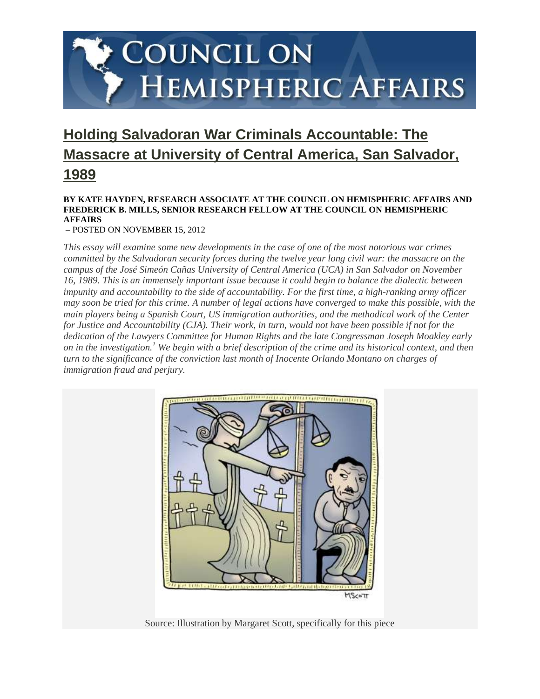# COUNCIL ON **HEMISPHERIC AFFAIRS**

# **[Holding Salvadoran War Criminals Accountable: The](http://www.coha.org/holding-salvadoran-war-criminals-accountable/)  [Massacre at University of Central America, San Salvador,](http://www.coha.org/holding-salvadoran-war-criminals-accountable/)  [1989](http://www.coha.org/holding-salvadoran-war-criminals-accountable/)**

#### **BY KATE HAYDEN, RESEARCH ASSOCIATE AT THE COUNCIL ON HEMISPHERIC AFFAIRS AND FREDERICK B. MILLS, SENIOR RESEARCH FELLOW AT THE COUNCIL ON HEMISPHERIC AFFAIRS**

– POSTED ON NOVEMBER 15, 2012

*This essay will examine some new developments in the case of one of the most notorious war crimes committed by the Salvadoran security forces during the twelve year long civil war: the massacre on the campus of the José Simeón Cañas University of Central America (UCA) in San Salvador on November 16, 1989. This is an immensely important issue because it could begin to balance the dialectic between impunity and accountability to the side of accountability. For the first time, a high-ranking army officer may soon be tried for this crime. A number of legal actions have converged to make this possible, with the main players being a Spanish Court, US immigration authorities, and the methodical work of the Center for Justice and Accountability (CJA). Their work, in turn, would not have been possible if not for the dedication of the Lawyers Committee for Human Rights and the late Congressman Joseph Moakley early on in the investigation.<sup>1</sup> We begin with a brief description of the crime and its historical context, and then turn to the significance of the conviction last month of Inocente Orlando Montano on charges of immigration fraud and perjury.*



Source: Illustration by Margaret Scott, specifically for this piece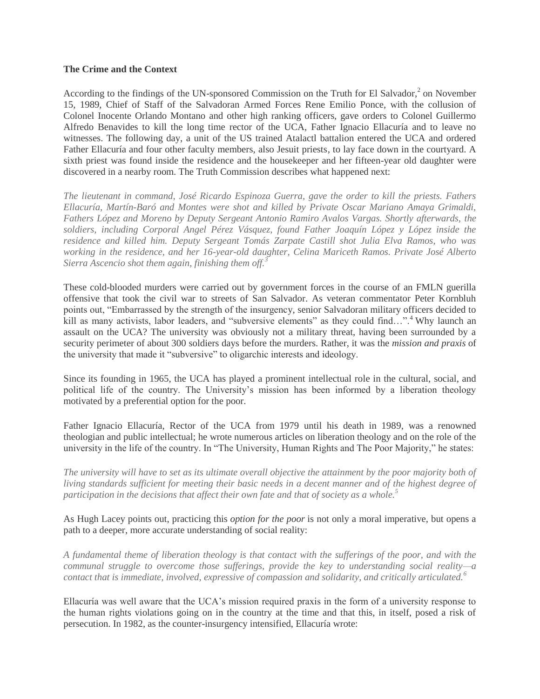#### **The Crime and the Context**

According to the findings of the UN-sponsored Commission on the Truth for El Salvador, $2$  on November 15, 1989, Chief of Staff of the Salvadoran Armed Forces Rene Emilio Ponce, with the collusion of Colonel Inocente Orlando Montano and other high ranking officers, gave orders to Colonel Guillermo Alfredo Benavides to kill the long time rector of the UCA, Father Ignacio Ellacuría and to leave no witnesses. The following day, a unit of the US trained Atalactl battalion entered the UCA and ordered Father Ellacuría and four other faculty members, also Jesuit priests, to lay face down in the courtyard. A sixth priest was found inside the residence and the housekeeper and her fifteen-year old daughter were discovered in a nearby room. The Truth Commission describes what happened next:

*The lieutenant in command, José Ricardo Espinoza Guerra, gave the order to kill the priests. Fathers Ellacuría, Martín-Baró and Montes were shot and killed by Private Oscar Mariano Amaya Grimaldi, Fathers López and Moreno by Deputy Sergeant Antonio Ramiro Avalos Vargas. Shortly afterwards, the soldiers, including Corporal Angel Pérez Vásquez, found Father Joaquín López y López inside the residence and killed him. Deputy Sergeant Tomás Zarpate Castill shot Julia Elva Ramos, who was working in the residence, and her 16-year-old daughter, Celina Mariceth Ramos. Private José Alberto Sierra Ascencio shot them again, finishing them off.<sup>3</sup>*

These cold-blooded murders were carried out by government forces in the course of an FMLN guerilla offensive that took the civil war to streets of San Salvador. As veteran commentator Peter Kornbluh points out, "Embarrassed by the strength of the insurgency, senior Salvadoran military officers decided to kill as many activists, labor leaders, and "subversive elements" as they could find...".<sup>4</sup> Why launch an assault on the UCA? The university was obviously not a military threat, having been surrounded by a security perimeter of about 300 soldiers days before the murders. Rather, it was the *mission and praxis* of the university that made it "subversive" to oligarchic interests and ideology.

Since its founding in 1965, the UCA has played a prominent intellectual role in the cultural, social, and political life of the country. The University's mission has been informed by a liberation theology motivated by a preferential option for the poor.

Father Ignacio Ellacuría, Rector of the UCA from 1979 until his death in 1989, was a renowned theologian and public intellectual; he wrote numerous articles on liberation theology and on the role of the university in the life of the country. In "The University, Human Rights and The Poor Majority," he states:

*The university will have to set as its ultimate overall objective the attainment by the poor majority both of living standards sufficient for meeting their basic needs in a decent manner and of the highest degree of participation in the decisions that affect their own fate and that of society as a whole.<sup>5</sup>*

As Hugh Lacey points out, practicing this *option for the poor* is not only a moral imperative, but opens a path to a deeper, more accurate understanding of social reality:

*A fundamental theme of liberation theology is that contact with the sufferings of the poor, and with the communal struggle to overcome those sufferings, provide the key to understanding social reality—a contact that is immediate, involved, expressive of compassion and solidarity, and critically articulated.<sup>6</sup>*

Ellacuría was well aware that the UCA's mission required praxis in the form of a university response to the human rights violations going on in the country at the time and that this, in itself, posed a risk of persecution. In 1982, as the counter-insurgency intensified, Ellacuría wrote: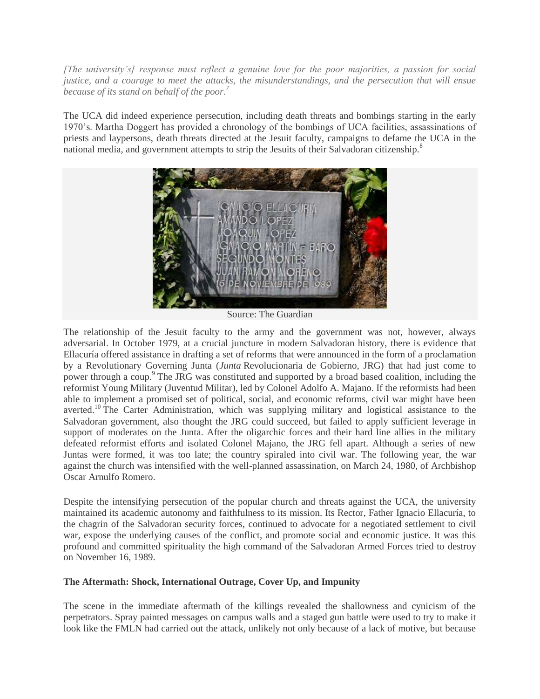*[The university's] response must reflect a genuine love for the poor majorities, a passion for social justice, and a courage to meet the attacks, the misunderstandings, and the persecution that will ensue because of its stand on behalf of the poor.<sup>7</sup>*

The UCA did indeed experience persecution, including death threats and bombings starting in the early 1970's. Martha Doggert has provided a chronology of the bombings of UCA facilities, assassinations of priests and laypersons, death threats directed at the Jesuit faculty, campaigns to defame the UCA in the national media, and government attempts to strip the Jesuits of their Salvadoran citizenship.<sup>8</sup>



Source: The Guardian

The relationship of the Jesuit faculty to the army and the government was not, however, always adversarial. In October 1979, at a crucial juncture in modern Salvadoran history, there is evidence that Ellacuría offered assistance in drafting a set of reforms that were announced in the form of a proclamation by a Revolutionary Governing Junta (*Junta* Revolucionaria de Gobierno, JRG) that had just come to power through a coup.<sup>9</sup> The JRG was constituted and supported by a broad based coalition, including the reformist Young Military (Juventud Militar), led by Colonel Adolfo A. Majano. If the reformists had been able to implement a promised set of political, social, and economic reforms, civil war might have been averted.<sup>10</sup> The Carter Administration, which was supplying military and logistical assistance to the Salvadoran government, also thought the JRG could succeed, but failed to apply sufficient leverage in support of moderates on the Junta. After the oligarchic forces and their hard line allies in the military defeated reformist efforts and isolated Colonel Majano, the JRG fell apart. Although a series of new Juntas were formed, it was too late; the country spiraled into civil war. The following year, the war against the church was intensified with the well-planned assassination, on March 24, 1980, of Archbishop Oscar Arnulfo Romero.

Despite the intensifying persecution of the popular church and threats against the UCA, the university maintained its academic autonomy and faithfulness to its mission. Its Rector, Father Ignacio Ellacuría, to the chagrin of the Salvadoran security forces, continued to advocate for a negotiated settlement to civil war, expose the underlying causes of the conflict, and promote social and economic justice. It was this profound and committed spirituality the high command of the Salvadoran Armed Forces tried to destroy on November 16, 1989.

### **The Aftermath: Shock, International Outrage, Cover Up, and Impunity**

The scene in the immediate aftermath of the killings revealed the shallowness and cynicism of the perpetrators. Spray painted messages on campus walls and a staged gun battle were used to try to make it look like the FMLN had carried out the attack, unlikely not only because of a lack of motive, but because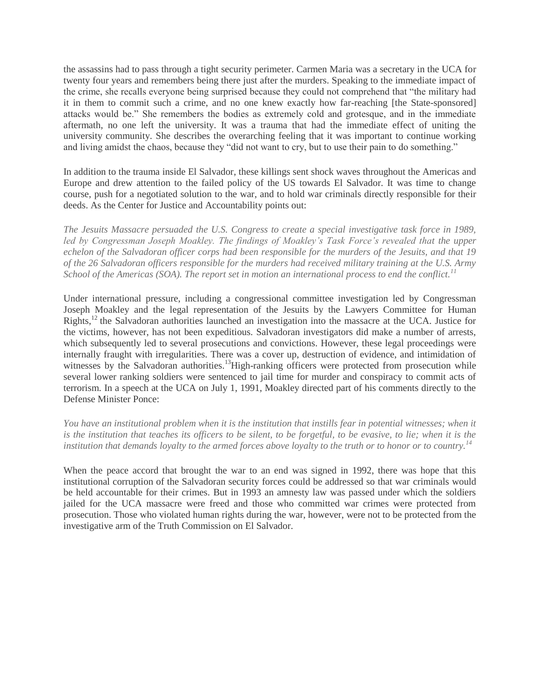the assassins had to pass through a tight security perimeter. Carmen Maria was a secretary in the UCA for twenty four years and remembers being there just after the murders. Speaking to the immediate impact of the crime, she recalls everyone being surprised because they could not comprehend that "the military had it in them to commit such a crime, and no one knew exactly how far-reaching [the State-sponsored] attacks would be." She remembers the bodies as extremely cold and grotesque, and in the immediate aftermath, no one left the university. It was a trauma that had the immediate effect of uniting the university community. She describes the overarching feeling that it was important to continue working and living amidst the chaos, because they "did not want to cry, but to use their pain to do something."

In addition to the trauma inside El Salvador, these killings sent shock waves throughout the Americas and Europe and drew attention to the failed policy of the US towards El Salvador. It was time to change course, push for a negotiated solution to the war, and to hold war criminals directly responsible for their deeds. As the Center for Justice and Accountability points out:

*The Jesuits Massacre persuaded the U.S. Congress to create a special investigative task force in 1989, led by Congressman Joseph Moakley. The findings of Moakley's Task Force's revealed that the upper echelon of the Salvadoran officer corps had been responsible for the murders of the Jesuits, and that 19 of the 26 Salvadoran officers responsible for the murders had received military training at the U.S. Army School of the Americas (SOA). The report set in motion an international process to end the conflict.<sup>11</sup>*

Under international pressure, including a congressional committee investigation led by Congressman Joseph Moakley and the legal representation of the Jesuits by the Lawyers Committee for Human Rights,<sup>12</sup> the Salvadoran authorities launched an investigation into the massacre at the UCA. Justice for the victims, however, has not been expeditious. Salvadoran investigators did make a number of arrests, which subsequently led to several prosecutions and convictions. However, these legal proceedings were internally fraught with irregularities. There was a cover up, destruction of evidence, and intimidation of witnesses by the Salvadoran authorities.<sup>13</sup>High-ranking officers were protected from prosecution while several lower ranking soldiers were sentenced to jail time for murder and conspiracy to commit acts of terrorism. In a speech at the UCA on July 1, 1991, Moakley directed part of his comments directly to the Defense Minister Ponce:

*You have an institutional problem when it is the institution that instills fear in potential witnesses; when it is the institution that teaches its officers to be silent, to be forgetful, to be evasive, to lie; when it is the institution that demands loyalty to the armed forces above loyalty to the truth or to honor or to country.<sup>14</sup>*

When the peace accord that brought the war to an end was signed in 1992, there was hope that this institutional corruption of the Salvadoran security forces could be addressed so that war criminals would be held accountable for their crimes. But in 1993 an amnesty law was passed under which the soldiers jailed for the UCA massacre were freed and those who committed war crimes were protected from prosecution. Those who violated human rights during the war, however, were not to be protected from the investigative arm of the Truth Commission on El Salvador.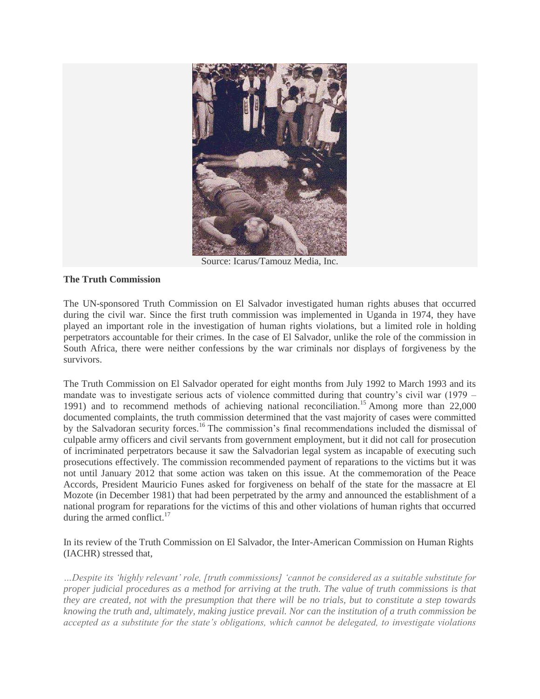

Source: Icarus/Tamouz Media, Inc.

## **The Truth Commission**

The UN-sponsored Truth Commission on El Salvador investigated human rights abuses that occurred during the civil war. Since the first truth commission was implemented in Uganda in 1974, they have played an important role in the investigation of human rights violations, but a limited role in holding perpetrators accountable for their crimes. In the case of El Salvador, unlike the role of the commission in South Africa, there were neither confessions by the war criminals nor displays of forgiveness by the survivors.

The Truth Commission on El Salvador operated for eight months from July 1992 to March 1993 and its mandate was to investigate serious acts of violence committed during that country's civil war (1979 – 1991) and to recommend methods of achieving national reconciliation.<sup>15</sup> Among more than  $22,000$ documented complaints, the truth commission determined that the vast majority of cases were committed by the Salvadoran security forces.<sup>16</sup> The commission's final recommendations included the dismissal of culpable army officers and civil servants from government employment, but it did not call for prosecution of incriminated perpetrators because it saw the Salvadorian legal system as incapable of executing such prosecutions effectively. The commission recommended payment of reparations to the victims but it was not until January 2012 that some action was taken on this issue. At the commemoration of the Peace Accords, President Mauricio Funes asked for forgiveness on behalf of the state for the massacre at El Mozote (in December 1981) that had been perpetrated by the army and announced the establishment of a national program for reparations for the victims of this and other violations of human rights that occurred during the armed conflict. $17$ 

In its review of the Truth Commission on El Salvador, the Inter-American Commission on Human Rights (IACHR) stressed that,

*…Despite its 'highly relevant' role, [truth commissions] 'cannot be considered as a suitable substitute for proper judicial procedures as a method for arriving at the truth. The value of truth commissions is that they are created, not with the presumption that there will be no trials, but to constitute a step towards knowing the truth and, ultimately, making justice prevail. Nor can the institution of a truth commission be accepted as a substitute for the state's obligations, which cannot be delegated, to investigate violations*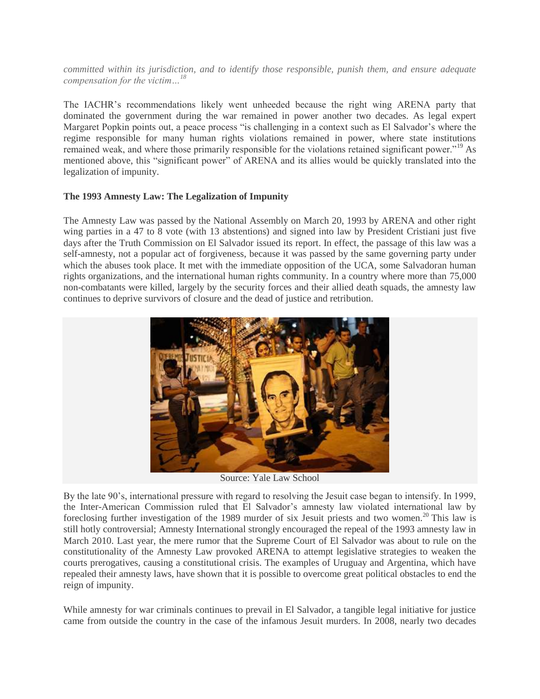*committed within its jurisdiction, and to identify those responsible, punish them, and ensure adequate compensation for the victim…<sup>18</sup>*

The IACHR's recommendations likely went unheeded because the right wing ARENA party that dominated the government during the war remained in power another two decades. As legal expert Margaret Popkin points out, a peace process "is challenging in a context such as El Salvador's where the regime responsible for many human rights violations remained in power, where state institutions remained weak, and where those primarily responsible for the violations retained significant power."<sup>19</sup> As mentioned above, this "significant power" of ARENA and its allies would be quickly translated into the legalization of impunity.

#### **The 1993 Amnesty Law: The Legalization of Impunity**

The Amnesty Law was passed by the National Assembly on March 20, 1993 by ARENA and other right wing parties in a 47 to 8 vote (with 13 abstentions) and signed into law by President Cristiani just five days after the Truth Commission on El Salvador issued its report. In effect, the passage of this law was a self-amnesty, not a popular act of forgiveness, because it was passed by the same governing party under which the abuses took place. It met with the immediate opposition of the UCA, some Salvadoran human rights organizations, and the international human rights community. In a country where more than 75,000 non-combatants were killed, largely by the security forces and their allied death squads, the amnesty law continues to deprive survivors of closure and the dead of justice and retribution.



Source: Yale Law School

By the late 90's, international pressure with regard to resolving the Jesuit case began to intensify. In 1999, the Inter-American Commission ruled that El Salvador's amnesty law violated international law by foreclosing further investigation of the 1989 murder of six Jesuit priests and two women.<sup>20</sup> This law is still hotly controversial; Amnesty International strongly encouraged the repeal of the 1993 amnesty law in March 2010. Last year, the mere rumor that the Supreme Court of El Salvador was about to rule on the constitutionality of the Amnesty Law provoked ARENA to attempt legislative strategies to weaken the courts prerogatives, causing a constitutional crisis. The examples of Uruguay and Argentina, which have repealed their amnesty laws, have shown that it is possible to overcome great political obstacles to end the reign of impunity.

While amnesty for war criminals continues to prevail in El Salvador, a tangible legal initiative for justice came from outside the country in the case of the infamous Jesuit murders. In 2008, nearly two decades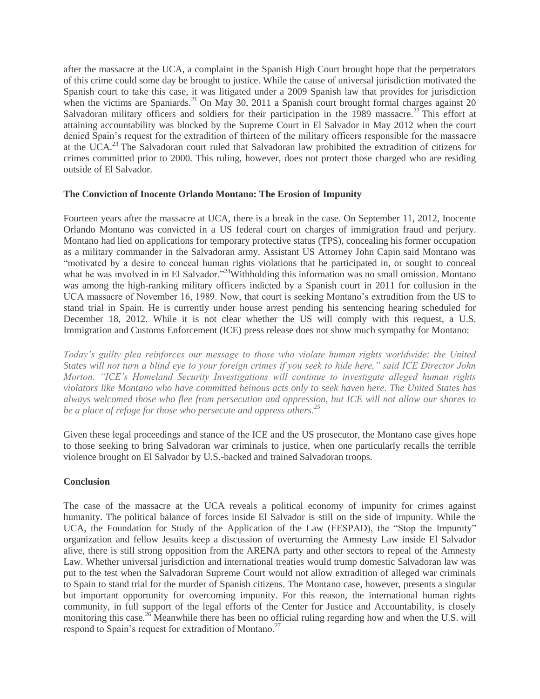after the massacre at the UCA, a complaint in the Spanish High Court brought hope that the perpetrators of this crime could some day be brought to justice. While the cause of universal jurisdiction motivated the Spanish court to take this case, it was litigated under a 2009 Spanish law that provides for jurisdiction when the victims are Spaniards.<sup>21</sup> On May 30, 2011 a Spanish court brought formal charges against 20 Salvadoran military officers and soldiers for their participation in the 1989 massacre.<sup>22</sup> This effort at attaining accountability was blocked by the Supreme Court in El Salvador in May 2012 when the court denied Spain's request for the extradition of thirteen of the military officers responsible for the massacre at the UCA.<sup>23</sup> The Salvadoran court ruled that Salvadoran law prohibited the extradition of citizens for crimes committed prior to 2000. This ruling, however, does not protect those charged who are residing outside of El Salvador.

### **The Conviction of Inocente Orlando Montano: The Erosion of Impunity**

Fourteen years after the massacre at UCA, there is a break in the case. On September 11, 2012, Inocente Orlando Montano was convicted in a US federal court on charges of immigration fraud and perjury. Montano had lied on applications for temporary protective status (TPS), concealing his former occupation as a military commander in the Salvadoran army. Assistant US Attorney John Capin said Montano was "motivated by a desire to conceal human rights violations that he participated in, or sought to conceal what he was involved in in El Salvador."<sup>24</sup>Withholding this information was no small omission. Montano was among the high-ranking military officers indicted by a Spanish court in 2011 for collusion in the UCA massacre of November 16, 1989. Now, that court is seeking Montano's extradition from the US to stand trial in Spain. He is currently under house arrest pending his sentencing hearing scheduled for December 18, 2012. While it is not clear whether the US will comply with this request, a U.S. Immigration and Customs Enforcement (ICE) press release does not show much sympathy for Montano:

*Today's guilty plea reinforces our message to those who violate human rights worldwide: the United States will not turn a blind eye to your foreign crimes if you seek to hide here," said ICE Director John Morton. "ICE's Homeland Security Investigations will continue to investigate alleged human rights violators like Montano who have committed heinous acts only to seek haven here. The United States has always welcomed those who flee from persecution and oppression, but ICE will not allow our shores to be a place of refuge for those who persecute and oppress others.<sup>25</sup>*

Given these legal proceedings and stance of the ICE and the US prosecutor, the Montano case gives hope to those seeking to bring Salvadoran war criminals to justice, when one particularly recalls the terrible violence brought on El Salvador by U.S.-backed and trained Salvadoran troops.

#### **Conclusion**

The case of the massacre at the UCA reveals a political economy of impunity for crimes against humanity. The political balance of forces inside El Salvador is still on the side of impunity. While the UCA, the Foundation for Study of the Application of the Law (FESPAD), the "Stop the Impunity" organization and fellow Jesuits keep a discussion of overturning the Amnesty Law inside El Salvador alive, there is still strong opposition from the ARENA party and other sectors to repeal of the Amnesty Law. Whether universal jurisdiction and international treaties would trump domestic Salvadoran law was put to the test when the Salvadoran Supreme Court would not allow extradition of alleged war criminals to Spain to stand trial for the murder of Spanish citizens. The Montano case, however, presents a singular but important opportunity for overcoming impunity. For this reason, the international human rights community, in full support of the legal efforts of the Center for Justice and Accountability, is closely monitoring this case.<sup>26</sup> Meanwhile there has been no official ruling regarding how and when the U.S. will respond to Spain's request for extradition of Montano.<sup>27</sup>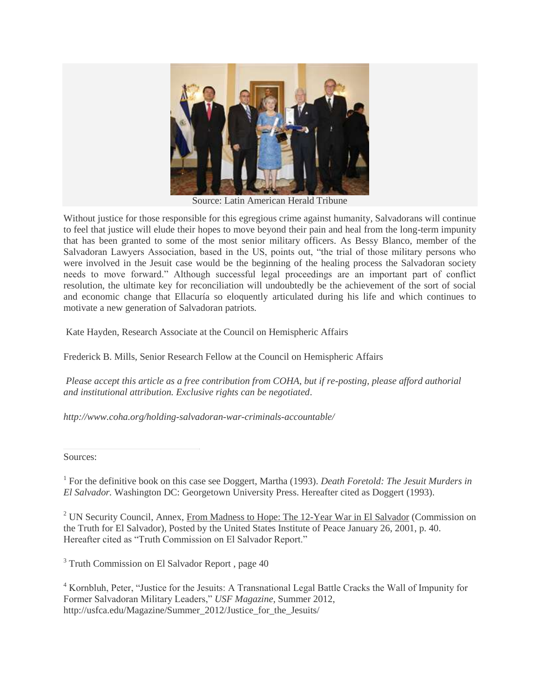

Source: Latin American Herald Tribune

Without justice for those responsible for this egregious crime against humanity, Salvadorans will continue to feel that justice will elude their hopes to move beyond their pain and heal from the long-term impunity that has been granted to some of the most senior military officers. As Bessy Blanco, member of the Salvadoran Lawyers Association, based in the US, points out, "the trial of those military persons who were involved in the Jesuit case would be the beginning of the healing process the Salvadoran society needs to move forward." Although successful legal proceedings are an important part of conflict resolution, the ultimate key for reconciliation will undoubtedly be the achievement of the sort of social and economic change that Ellacuría so eloquently articulated during his life and which continues to motivate a new generation of Salvadoran patriots.

Kate Hayden, Research Associate at the Council on Hemispheric Affairs

Frederick B. Mills, Senior Research Fellow at the Council on Hemispheric Affairs

*Please accept this article as a free contribution from COHA, but if re-posting, please afford authorial and institutional attribution. Exclusive rights can be negotiated*.

*http://www.coha.org/holding-salvadoran-war-criminals-accountable/*

Sources:

<sup>1</sup> For the definitive book on this case see Doggert, Martha (1993). *Death Foretold: The Jesuit Murders in El Salvador.* Washington DC: Georgetown University Press. Hereafter cited as Doggert (1993).

<sup>2</sup> UN Security Council, Annex, From Madness to Hope: The 12-Year War in El Salvador (Commission on the Truth for El Salvador), Posted by the United States Institute of Peace January 26, 2001, p. 40. Hereafter cited as "Truth Commission on El Salvador Report."

<sup>3</sup> Truth Commission on El Salvador Report, page 40

<sup>4</sup> Kornbluh, Peter, "Justice for the Jesuits: A Transnational Legal Battle Cracks the Wall of Impunity for Former Salvadoran Military Leaders," *USF Magazine*, Summer 2012, http://usfca.edu/Magazine/Summer\_2012/Justice\_for\_the\_Jesuits/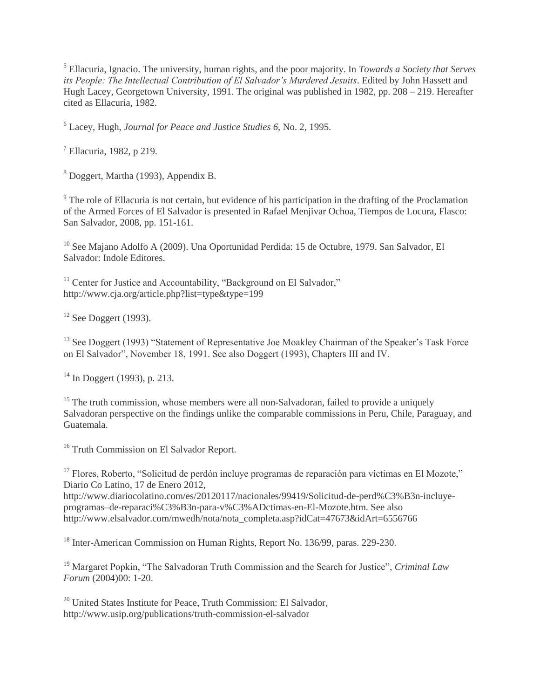<sup>5</sup> Ellacuria, Ignacio. The university, human rights, and the poor majority. In *Towards a Society that Serves its People: The Intellectual Contribution of El Salvador's Murdered Jesuits*. Edited by John Hassett and Hugh Lacey, Georgetown University, 1991. The original was published in 1982, pp. 208 – 219. Hereafter cited as Ellacuria, 1982.

<sup>6</sup> Lacey, Hugh, *Journal for Peace and Justice Studies 6*, No. 2, 1995.

<sup>7</sup> Ellacuria, 1982, p 219.

<sup>8</sup> Doggert, Martha (1993), Appendix B.

<sup>9</sup> The role of Ellacuria is not certain, but evidence of his participation in the drafting of the Proclamation of the Armed Forces of El Salvador is presented in Rafael Menjivar Ochoa, Tiempos de Locura, Flasco: San Salvador, 2008, pp. 151-161.

<sup>10</sup> See Majano Adolfo A (2009). Una Oportunidad Perdida: 15 de Octubre, 1979. San Salvador, El Salvador: Indole Editores.

<sup>11</sup> Center for Justice and Accountability, "Background on El Salvador," http://www.cja.org/article.php?list=type&type=199

 $12$  See Doggert (1993).

<sup>13</sup> See Doggert (1993) "Statement of Representative Joe Moakley Chairman of the Speaker's Task Force on El Salvador", November 18, 1991. See also Doggert (1993), Chapters III and IV.

<sup>14</sup> In Doggert (1993), p. 213.

<sup>15</sup> The truth commission, whose members were all non-Salvadoran, failed to provide a uniquely Salvadoran perspective on the findings unlike the comparable commissions in Peru, Chile, Paraguay, and Guatemala.

<sup>16</sup> Truth Commission on El Salvador Report.

<sup>17</sup> Flores, Roberto, "Solicitud de perdón incluye programas de reparación para víctimas en El Mozote," Diario Co Latino, 17 de Enero 2012, http://www.diariocolatino.com/es/20120117/nacionales/99419/Solicitud-de-perd%C3%B3n-incluyeprogramas–de-reparaci%C3%B3n-para-v%C3%ADctimas-en-El-Mozote.htm. See also http://www.elsalvador.com/mwedh/nota/nota\_completa.asp?idCat=47673&idArt=6556766

<sup>18</sup> Inter-American Commission on Human Rights, Report No. 136/99, paras. 229-230.

<sup>19</sup> Margaret Popkin, "The Salvadoran Truth Commission and the Search for Justice", *Criminal Law Forum* (2004)00: 1-20.

<sup>20</sup> United States Institute for Peace, Truth Commission: El Salvador, http://www.usip.org/publications/truth-commission-el-salvador